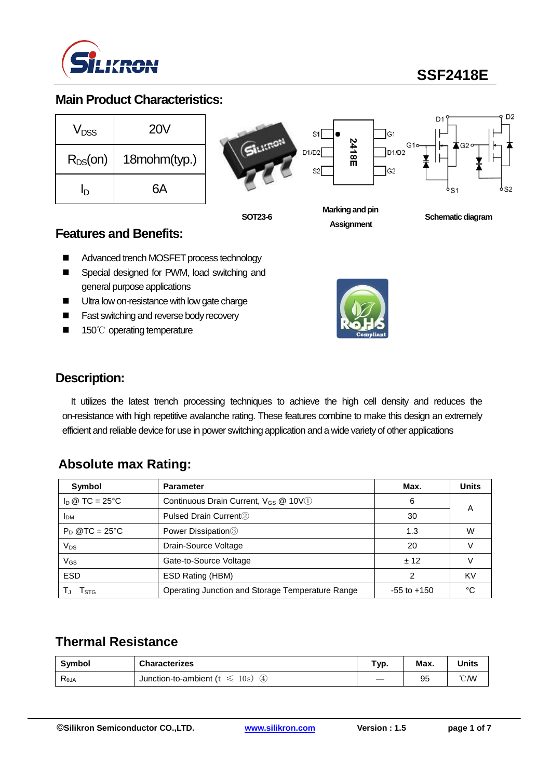

**SSF2418E**

### **Main Product Characteristics:**

| V <sub>DSS</sub> | <b>20V</b>   |
|------------------|--------------|
| $R_{DS}(on)$     | 18mohm(typ.) |
| In               | 6А           |



**Assignment**

**Schematic diagram** 

#### **Features and Benefits:**

- Advanced trench MOSFET process technology
- **Special designed for PWM, load switching and** general purpose applications
- **Ultra low on-resistance with low gate charge**
- **Fast switching and reverse body recovery**
- 150℃ operating temperature



### **Description:**

It utilizes the latest trench processing techniques to achieve the high cell density and reduces the on-resistance with high repetitive avalanche rating. These features combine to make this design an extremely efficient and reliable device for use in power switching application and a wide variety of other applications

## **Absolute max Rating:**

| Symbol            | <b>Parameter</b>                                 | Max.            | <b>Units</b> |
|-------------------|--------------------------------------------------|-----------------|--------------|
| $I_D @ TC = 25°C$ | Continuous Drain Current, V <sub>GS</sub> @ 10V1 | 6               |              |
| <b>IDM</b>        | Pulsed Drain Current <sup>2</sup>                | 30              | А            |
| $P_D$ @TC = 25°C  | Power Dissipation <sup>3</sup><br>1.3            |                 | W            |
| $V_{DS}$          | Drain-Source Voltage                             | 20              |              |
| $V_{GS}$          | Gate-to-Source Voltage                           | ± 12            |              |
| <b>ESD</b>        | ESD Rating (HBM)                                 | ົ               | KV           |
| I STG             | Operating Junction and Storage Temperature Range | $-55$ to $+150$ | °∩           |

### **Thermal Resistance**

| Symbol         | <b>Characterizes</b>                                          | Typ. | Max. | <b>Units</b>   |
|----------------|---------------------------------------------------------------|------|------|----------------|
| $R_{\theta$ JA | Junction-to-ambient (t<br>10s)<br>$\left( 4\right)$<br>$\sim$ |      | 95   | $^{\circ}$ CMV |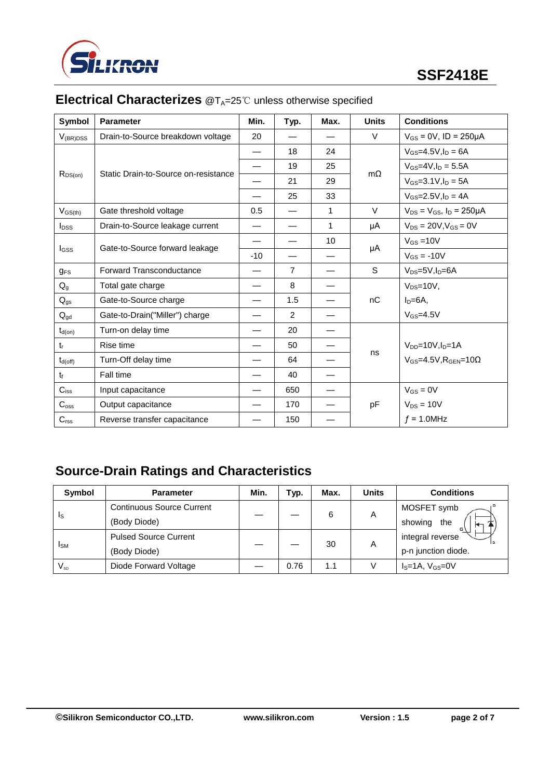

| <b>Symbol</b>           | Min.<br><b>Parameter</b><br>Typ.<br>Max. |                          | <b>Units</b>   | <b>Conditions</b> |           |                                                 |
|-------------------------|------------------------------------------|--------------------------|----------------|-------------------|-----------|-------------------------------------------------|
| $V_{(BR)DSS}$           | Drain-to-Source breakdown voltage        | 20                       |                |                   | V         | $V_{GS} = 0V$ , ID = 250µA                      |
|                         |                                          |                          | 18             | 24                |           | $V_{GS} = 4.5V, I_D = 6A$                       |
|                         | Static Drain-to-Source on-resistance     | —                        | 19             | 25                | $m\Omega$ | $V_{GS} = 4V I_D = 5.5A$                        |
| $R_{DS(on)}$            |                                          |                          | 21             | 29                |           | $V_{GS} = 3.1 V I_D = 5A$                       |
|                         |                                          |                          | 25             | 33                |           | $V_{GS} = 2.5 V, I_D = 4A$                      |
| $V_{GS(th)}$            | Gate threshold voltage                   | 0.5                      |                | 1                 | V         | $V_{DS} = V_{GS}$ , $I_D = 250 \mu A$           |
| <b>l</b> <sub>pss</sub> | Drain-to-Source leakage current          | —                        |                | $\mathbf{1}$      | μA        | $V_{DS} = 20V, V_{GS} = 0V$                     |
|                         |                                          | $\overline{\phantom{0}}$ |                | 10                |           | $V_{GS} = 10V$                                  |
| <b>I</b> GSS            | Gate-to-Source forward leakage           | $-10$                    |                |                   | μA        | $V_{GS} = -10V$                                 |
| <b>g</b> <sub>FS</sub>  | Forward Transconductance                 |                          | $\overline{7}$ |                   | S         | $V_{DS}=5V, I_D=6A$                             |
| $Q_{q}$                 | Total gate charge                        |                          | 8              |                   |           | $V_{DS}=10V$ ,                                  |
| $Q_{gs}$                | Gate-to-Source charge                    | $\overline{\phantom{0}}$ | 1.5            |                   | nC        | $ID=6A$                                         |
| $Q_{gd}$                | Gate-to-Drain("Miller") charge           |                          | $\overline{2}$ |                   |           | $V_{GS} = 4.5V$                                 |
| $t_{d(on)}$             | Turn-on delay time                       |                          | 20             |                   |           |                                                 |
| $t_{r}$                 | Rise time                                |                          | 50             |                   |           | $V_{DD} = 10V, I_D = 1A$                        |
| $t_{d(\text{off})}$     | Turn-Off delay time                      |                          | 64             |                   | ns        | $V_{GS} = 4.5V$ , R <sub>GEN</sub> =10 $\Omega$ |
| $t_{\rm f}$             | Fall time                                |                          | 40             |                   |           |                                                 |
| $C_{iss}$               | Input capacitance                        |                          | 650            |                   |           | $V_{GS} = 0V$                                   |
| $C_{\rm oss}$           | Output capacitance                       |                          | 170            |                   | pF        | $V_{DS} = 10V$                                  |
| $C_{\text{rss}}$        | Reverse transfer capacitance             |                          | 150            |                   |           | $f = 1.0$ MHz                                   |

# **Electrical Characterizes** @T<sub>A</sub>=25℃ unless otherwise specified

# **Source-Drain Ratings and Characteristics**

| Symbol                     | <b>Parameter</b>                 | Min. | Tур. | Max. | <b>Units</b> | <b>Conditions</b>   |
|----------------------------|----------------------------------|------|------|------|--------------|---------------------|
| Is                         | <b>Continuous Source Current</b> |      |      | 6    | Α            | MOSFET symb         |
|                            | (Body Diode)                     |      |      |      |              | showing<br>the      |
| <b>I</b> <sub>SM</sub>     | <b>Pulsed Source Current</b>     |      |      |      |              | integral reverse    |
|                            | (Body Diode)                     |      |      | 30   | Α            | p-n junction diode. |
| $\mathsf{V}_{\mathsf{sp}}$ | Diode Forward Voltage            |      | 0.76 | 1.1  |              | $IS=1A, VGS=0V$     |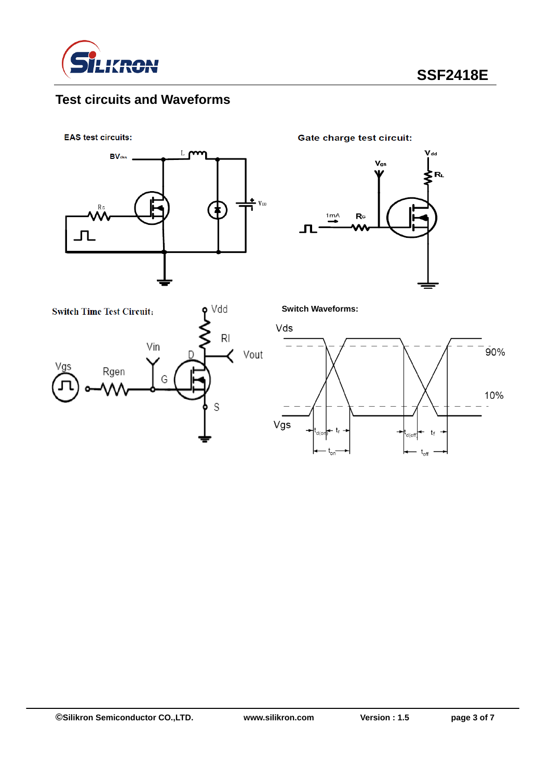

# **Test circuits and Waveforms**

**EAS test circuits:** 



**Gate charge test circuit:** 





**Switch Waveforms:**

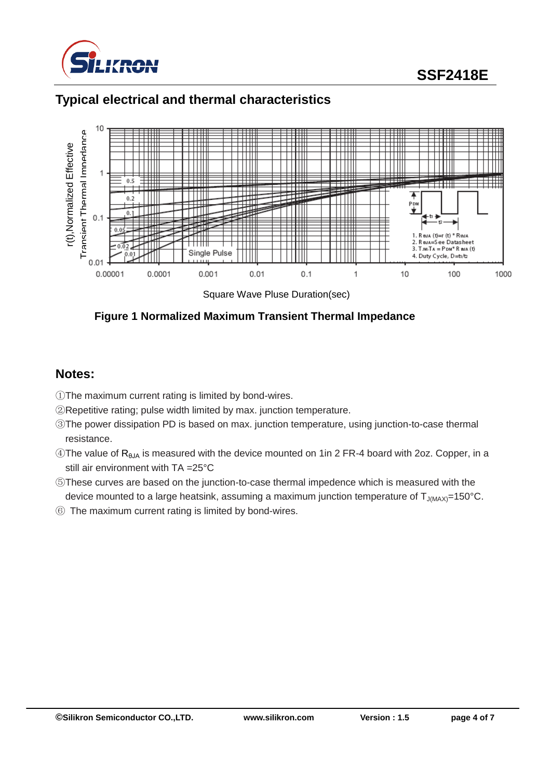

# **SSF2418E**

## **Typical electrical and thermal characteristics**



Square Wave Pluse Duration(sec)

#### **Figure 1 Normalized Maximum Transient Thermal Impedance**

#### **Notes:**

- ①The maximum current rating is limited by bond-wires.
- ②Repetitive rating; pulse width limited by max. junction temperature.
- ③The power dissipation PD is based on max. junction temperature, using junction-to-case thermal resistance.
- $\circledA$ The value of R<sub>θJA</sub> is measured with the device mounted on 1in 2 FR-4 board with 2oz. Copper, in a still air environment with TA =25°C
- ⑤These curves are based on the junction-to-case thermal impedence which is measured with the device mounted to a large heatsink, assuming a maximum junction temperature of  $T_{J(MAX)}=150^{\circ}$ C.
- ⑥ The maximum current rating is limited by bond-wires.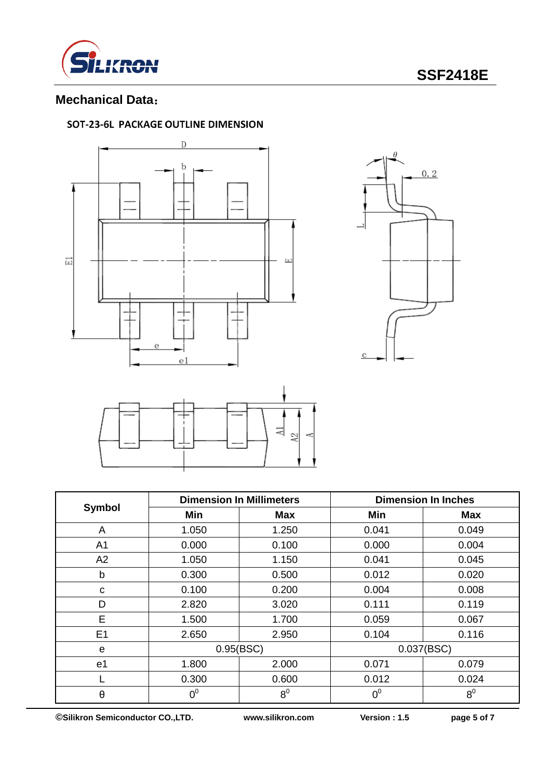

## **Mechanical Data**:

#### SOT-23-6L PACKAGE OUTLINE DIMENSION







| Symbol         |       | <b>Dimension In Millimeters</b> | <b>Dimension In Inches</b> |                |  |
|----------------|-------|---------------------------------|----------------------------|----------------|--|
|                | Min   | <b>Max</b>                      | Min                        | <b>Max</b>     |  |
| A              | 1.050 | 1.250                           | 0.041                      | 0.049          |  |
| A <sub>1</sub> | 0.000 | 0.100                           | 0.000                      | 0.004          |  |
| A2             | 1.050 | 1.150                           | 0.041                      | 0.045          |  |
| b              | 0.300 | 0.500                           | 0.012                      | 0.020          |  |
| C              | 0.100 | 0.200                           | 0.004                      | 0.008          |  |
| D              | 2.820 | 3.020                           | 0.111                      | 0.119          |  |
| Е              | 1.500 | 1.700                           | 0.059                      | 0.067          |  |
| E <sub>1</sub> | 2.650 | 2.950                           | 0.104                      | 0.116          |  |
| e              |       | 0.95(BSC)                       |                            | 0.037(BSC)     |  |
| e <sub>1</sub> | 1.800 | 2.000                           | 0.071                      | 0.079          |  |
|                | 0.300 | 0.600                           | 0.012                      | 0.024          |  |
| $\pmb{\theta}$ | $0^0$ | 8 <sup>0</sup>                  | $0^0$                      | 8 <sup>0</sup> |  |

**©Silikron Semiconductor CO.,LTD. www.silikron.com Version : 1.5 page 5 of 7**

 $\mathsf{r}$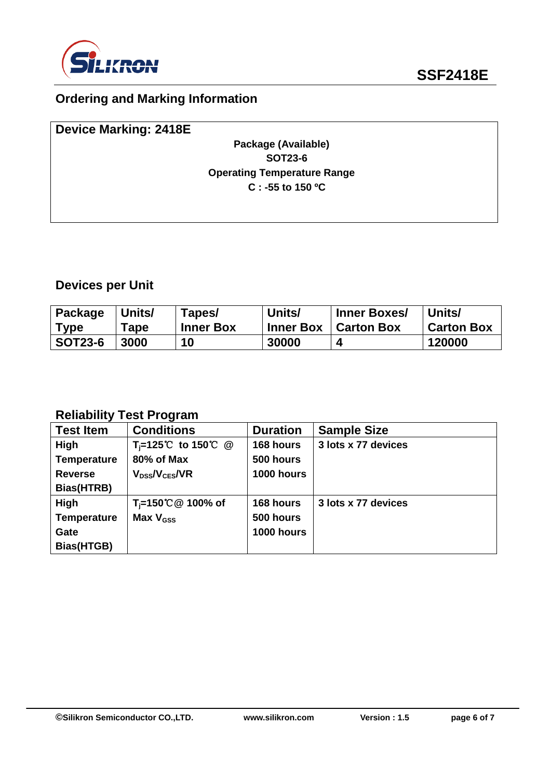

## **Ordering and Marking Information**

| <b>Device Marking: 2418E</b> |                                    |  |
|------------------------------|------------------------------------|--|
|                              | Package (Available)                |  |
|                              | <b>SOT23-6</b>                     |  |
|                              | <b>Operating Temperature Range</b> |  |
|                              | $C: -55$ to 150 °C                 |  |
|                              |                                    |  |
|                              |                                    |  |

# **Devices per Unit**

| Package        | Units/      | Tapes/           | Units/           | <b>Inner Boxes/</b> | Units/            |
|----------------|-------------|------------------|------------------|---------------------|-------------------|
| <b>Type</b>    | <b>Tape</b> | <b>Inner Box</b> | <b>Inner Box</b> | <b>Carton Box</b>   | <b>Carton Box</b> |
| <b>SOT23-6</b> | 3000        | 10               | 30000            | Δ                   | 120000            |

## **Reliability Test Program**

| <b>Test Item</b>   | <b>Conditions</b>              | <b>Duration</b> | <b>Sample Size</b>  |
|--------------------|--------------------------------|-----------------|---------------------|
| <b>High</b>        | T <sub>i</sub> =125℃ to 150℃ @ | 168 hours       | 3 lots x 77 devices |
| <b>Temperature</b> | 80% of Max                     | 500 hours       |                     |
| <b>Reverse</b>     | $V_{DS}$ / $V_{CES}$ /VR       | 1000 hours      |                     |
| Bias(HTRB)         |                                |                 |                     |
| High               | T <sub>i</sub> =150℃ @ 100% of | 168 hours       | 3 lots x 77 devices |
| <b>Temperature</b> | Max $V_{\text{GSS}}$           | 500 hours       |                     |
| Gate               |                                | 1000 hours      |                     |
| Bias(HTGB)         |                                |                 |                     |